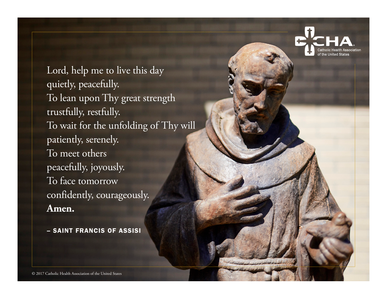Lord, help me to live this day quietly, peacefully. To lean upon Thy great strength trustfully, restfully. To wait for the unfolding of Thy will patiently, serenely. To meet others peacefully, joyously. To face tomorrow confidently, courageously. **Amen.**

– SAINT FRANCIS OF ASSISI